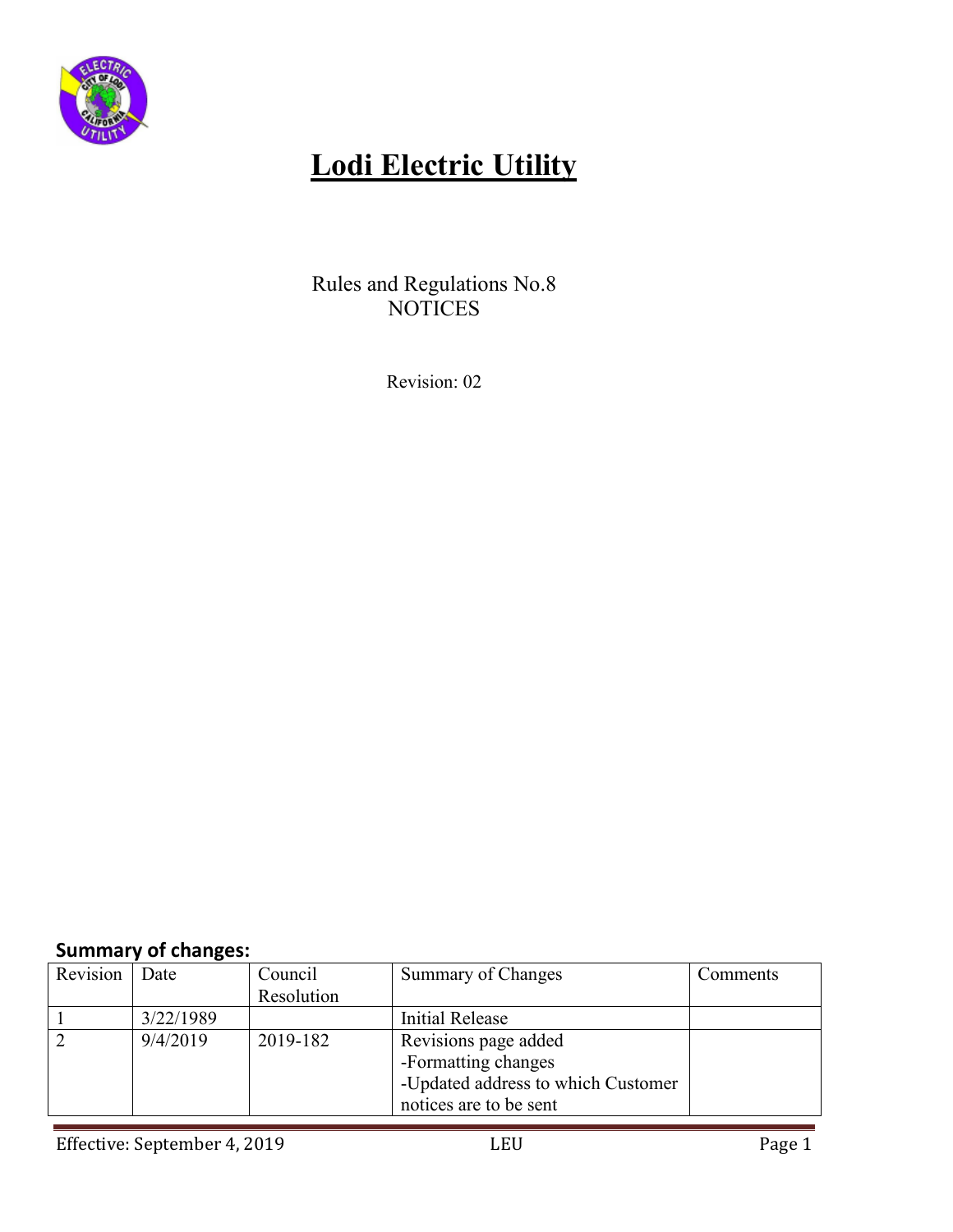

## **Lodi Electric Utility**

Rules and Regulations No.8 **NOTICES** 

Revision: 02

## **Summary of changes:**

| Revision | Date      | Council    | Summary of Changes                 | Comments |
|----------|-----------|------------|------------------------------------|----------|
|          |           | Resolution |                                    |          |
|          | 3/22/1989 |            | Initial Release                    |          |
|          | 9/4/2019  | 2019-182   | Revisions page added               |          |
|          |           |            | -Formatting changes                |          |
|          |           |            | -Updated address to which Customer |          |
|          |           |            | notices are to be sent             |          |